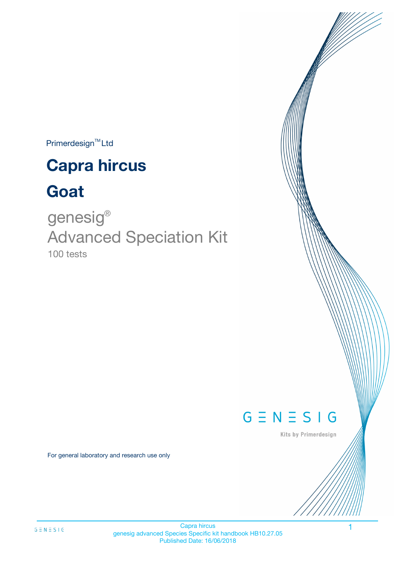$Primerdesign^{\text{TM}}$ Ltd

# **Capra hircus**

# **Goat**

100 tests genesig ® Advanced Speciation Kit



Kits by Primerdesign

For general laboratory and research use only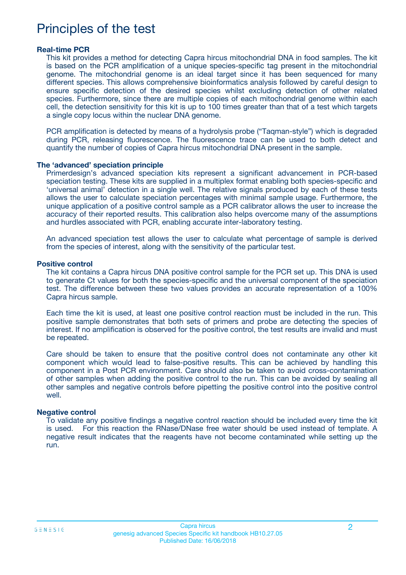### Principles of the test

#### **Real-time PCR**

This kit provides a method for detecting Capra hircus mitochondrial DNA in food samples. The kit is based on the PCR amplification of a unique species-specific tag present in the mitochondrial genome. The mitochondrial genome is an ideal target since it has been sequenced for many different species. This allows comprehensive bioinformatics analysis followed by careful design to ensure specific detection of the desired species whilst excluding detection of other related species. Furthermore, since there are multiple copies of each mitochondrial genome within each cell, the detection sensitivity for this kit is up to 100 times greater than that of a test which targets a single copy locus within the nuclear DNA genome.

PCR amplification is detected by means of a hydrolysis probe ("Taqman-style") which is degraded during PCR, releasing fluorescence. The fluorescence trace can be used to both detect and quantify the number of copies of Capra hircus mitochondrial DNA present in the sample.

#### **The 'advanced' speciation principle**

Primerdesign's advanced speciation kits represent a significant advancement in PCR-based speciation testing. These kits are supplied in a multiplex format enabling both species-specific and 'universal animal' detection in a single well. The relative signals produced by each of these tests allows the user to calculate speciation percentages with minimal sample usage. Furthermore, the unique application of a positive control sample as a PCR calibrator allows the user to increase the accuracy of their reported results. This calibration also helps overcome many of the assumptions and hurdles associated with PCR, enabling accurate inter-laboratory testing.

An advanced speciation test allows the user to calculate what percentage of sample is derived from the species of interest, along with the sensitivity of the particular test.

#### **Positive control**

The kit contains a Capra hircus DNA positive control sample for the PCR set up. This DNA is used to generate Ct values for both the species-specific and the universal component of the speciation test. The difference between these two values provides an accurate representation of a 100% Capra hircus sample.

Each time the kit is used, at least one positive control reaction must be included in the run. This positive sample demonstrates that both sets of primers and probe are detecting the species of interest. If no amplification is observed for the positive control, the test results are invalid and must be repeated.

Care should be taken to ensure that the positive control does not contaminate any other kit component which would lead to false-positive results. This can be achieved by handling this component in a Post PCR environment. Care should also be taken to avoid cross-contamination of other samples when adding the positive control to the run. This can be avoided by sealing all other samples and negative controls before pipetting the positive control into the positive control well.

#### **Negative control**

To validate any positive findings a negative control reaction should be included every time the kit is used. For this reaction the RNase/DNase free water should be used instead of template. A negative result indicates that the reagents have not become contaminated while setting up the run.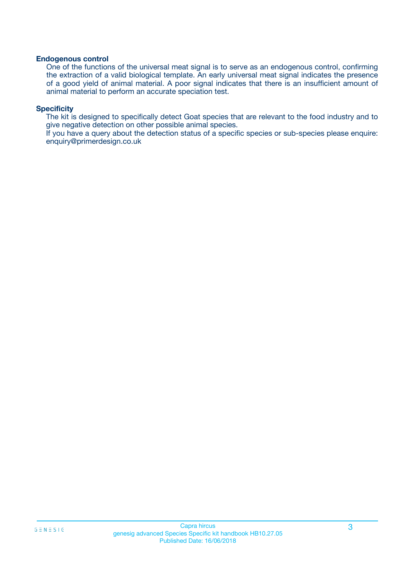#### **Endogenous control**

One of the functions of the universal meat signal is to serve as an endogenous control, confirming the extraction of a valid biological template. An early universal meat signal indicates the presence of a good yield of animal material. A poor signal indicates that there is an insufficient amount of animal material to perform an accurate speciation test.

#### **Specificity**

The kit is designed to specifically detect Goat species that are relevant to the food industry and to give negative detection on other possible animal species.

If you have a query about the detection status of a specific species or sub-species please enquire: enquiry@primerdesign.co.uk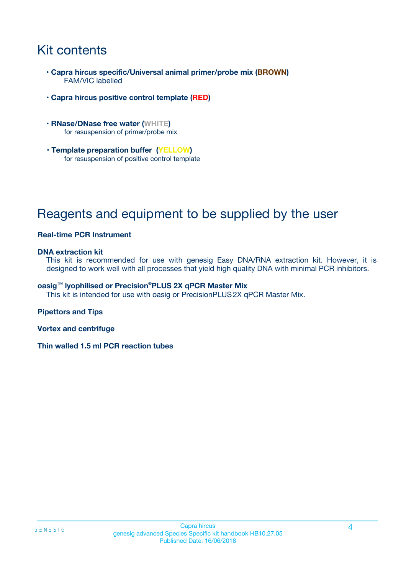## Kit contents

- **Capra hircus specific/Universal animal primer/probe mix (BROWN)** FAM/VIC labelled
- **Capra hircus positive control template (RED)**
- **RNase/DNase free water (WHITE)** for resuspension of primer/probe mix
- **Template preparation buffer (YELLOW)** for resuspension of positive control template

## Reagents and equipment to be supplied by the user

#### **Real-time PCR Instrument**

#### **DNA extraction kit**

This kit is recommended for use with genesig Easy DNA/RNA extraction kit. However, it is designed to work well with all processes that yield high quality DNA with minimal PCR inhibitors.

#### **oasig**TM **lyophilised or Precision®PLUS 2X qPCR Master Mix**

This kit is intended for use with oasig or PrecisionPLUS2X qPCR Master Mix.

#### **Pipettors and Tips**

**Vortex and centrifuge**

**Thin walled 1.5 ml PCR reaction tubes**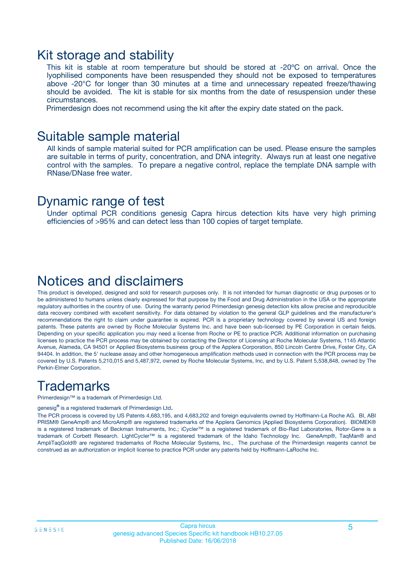### Kit storage and stability

This kit is stable at room temperature but should be stored at -20ºC on arrival. Once the lyophilised components have been resuspended they should not be exposed to temperatures above -20°C for longer than 30 minutes at a time and unnecessary repeated freeze/thawing should be avoided. The kit is stable for six months from the date of resuspension under these circumstances.

Primerdesign does not recommend using the kit after the expiry date stated on the pack.

### Suitable sample material

All kinds of sample material suited for PCR amplification can be used. Please ensure the samples are suitable in terms of purity, concentration, and DNA integrity. Always run at least one negative control with the samples. To prepare a negative control, replace the template DNA sample with RNase/DNase free water.

### Dynamic range of test

Under optimal PCR conditions genesig Capra hircus detection kits have very high priming efficiencies of >95% and can detect less than 100 copies of target template.

### Notices and disclaimers

This product is developed, designed and sold for research purposes only. It is not intended for human diagnostic or drug purposes or to be administered to humans unless clearly expressed for that purpose by the Food and Drug Administration in the USA or the appropriate regulatory authorities in the country of use. During the warranty period Primerdesign genesig detection kits allow precise and reproducible data recovery combined with excellent sensitivity. For data obtained by violation to the general GLP guidelines and the manufacturer's recommendations the right to claim under guarantee is expired. PCR is a proprietary technology covered by several US and foreign patents. These patents are owned by Roche Molecular Systems Inc. and have been sub-licensed by PE Corporation in certain fields. Depending on your specific application you may need a license from Roche or PE to practice PCR. Additional information on purchasing licenses to practice the PCR process may be obtained by contacting the Director of Licensing at Roche Molecular Systems, 1145 Atlantic Avenue, Alameda, CA 94501 or Applied Biosystems business group of the Applera Corporation, 850 Lincoln Centre Drive, Foster City, CA 94404. In addition, the 5' nuclease assay and other homogeneous amplification methods used in connection with the PCR process may be covered by U.S. Patents 5,210,015 and 5,487,972, owned by Roche Molecular Systems, Inc, and by U.S. Patent 5,538,848, owned by The Perkin-Elmer Corporation.

### **Trademarks**

Primerdesign™ is a trademark of Primerdesign Ltd.

genesig**®** is a registered trademark of Primerdesign Ltd.

The PCR process is covered by US Patents 4,683,195, and 4,683,202 and foreign equivalents owned by Hoffmann-La Roche AG. BI, ABI PRISM® GeneAmp® and MicroAmp® are registered trademarks of the Applera Genomics (Applied Biosystems Corporation). BIOMEK® is a registered trademark of Beckman Instruments, Inc.; iCycler™ is a registered trademark of Bio-Rad Laboratories, Rotor-Gene is a trademark of Corbett Research. LightCycler™ is a registered trademark of the Idaho Technology Inc. GeneAmp®, TaqMan® and AmpliTaqGold® are registered trademarks of Roche Molecular Systems, Inc., The purchase of the Primerdesign reagents cannot be construed as an authorization or implicit license to practice PCR under any patents held by Hoffmann-LaRoche Inc.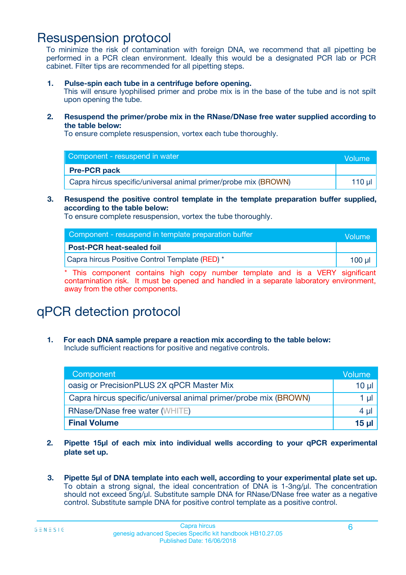### Resuspension protocol

To minimize the risk of contamination with foreign DNA, we recommend that all pipetting be performed in a PCR clean environment. Ideally this would be a designated PCR lab or PCR cabinet. Filter tips are recommended for all pipetting steps.

**1. Pulse-spin each tube in a centrifuge before opening.**

This will ensure lyophilised primer and probe mix is in the base of the tube and is not spilt upon opening the tube.

**2. Resuspend the primer/probe mix in the RNase/DNase free water supplied according to the table below:**

To ensure complete resuspension, vortex each tube thoroughly.

| Component - resuspend in water                                  | Volume   |
|-----------------------------------------------------------------|----------|
| <b>Pre-PCR pack</b>                                             |          |
| Capra hircus specific/universal animal primer/probe mix (BROWN) | 110 µl 1 |

#### **3. Resuspend the positive control template in the template preparation buffer supplied, according to the table below:**

To ensure complete resuspension, vortex the tube thoroughly.

| Component - resuspend in template preparation buffer | Volume |
|------------------------------------------------------|--------|
| <b>Post-PCR heat-sealed foil</b>                     |        |
| Capra hircus Positive Control Template (RED) *       | 100 ul |

\* This component contains high copy number template and is a VERY significant contamination risk. It must be opened and handled in a separate laboratory environment, away from the other components.

# qPCR detection protocol

**1. For each DNA sample prepare a reaction mix according to the table below:** Include sufficient reactions for positive and negative controls.

| Component                                                       | Volume   |
|-----------------------------------------------------------------|----------|
| oasig or PrecisionPLUS 2X qPCR Master Mix                       | $10 \mu$ |
| Capra hircus specific/universal animal primer/probe mix (BROWN) | 1 µl     |
| <b>RNase/DNase free water (WHITE)</b>                           | 4 µl     |
| <b>Final Volume</b>                                             | 15 µl    |

- **2. Pipette 15µl of each mix into individual wells according to your qPCR experimental plate set up.**
- **3. Pipette 5µl of DNA template into each well, according to your experimental plate set up.** To obtain a strong signal, the ideal concentration of DNA is 1-3ng/µl. The concentration should not exceed 5ng/µl. Substitute sample DNA for RNase/DNase free water as a negative control. Substitute sample DNA for positive control template as a positive control.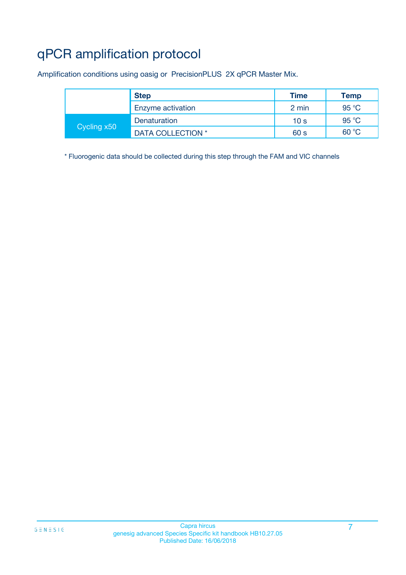# qPCR amplification protocol

Amplification conditions using oasig or PrecisionPLUS 2X qPCR Master Mix.

|             | <b>Step</b>       | <b>Time</b>     | <b>Temp</b> |
|-------------|-------------------|-----------------|-------------|
|             | Enzyme activation | 2 min           | 95 °C       |
| Cycling x50 | Denaturation      | 10 <sub>s</sub> | 95 °C       |
|             | DATA COLLECTION * | 60 s            | 60 °C       |

\* Fluorogenic data should be collected during this step through the FAM and VIC channels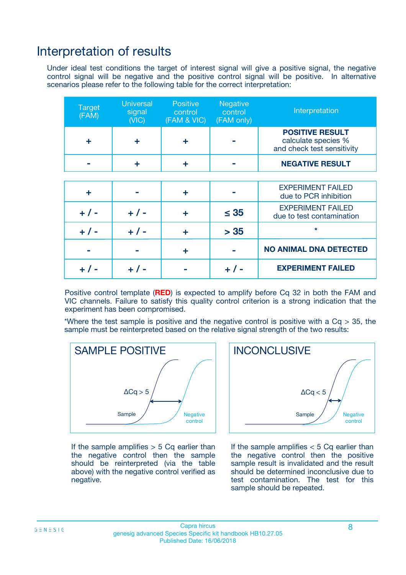### Interpretation of results

Under ideal test conditions the target of interest signal will give a positive signal, the negative control signal will be negative and the positive control signal will be positive. In alternative scenarios please refer to the following table for the correct interpretation:

| <b>Target</b><br>(FAM) | <b>Universal</b><br>signal<br>(NIC) | <b>Positive</b><br>control<br>(FAM & VIC) | <b>Negative</b><br>control<br>(FAM only) | Interpretation                                                              |
|------------------------|-------------------------------------|-------------------------------------------|------------------------------------------|-----------------------------------------------------------------------------|
| ÷                      | ÷                                   | ÷                                         |                                          | <b>POSITIVE RESULT</b><br>calculate species %<br>and check test sensitivity |
|                        |                                     | ÷                                         |                                          | <b>NEGATIVE RESULT</b>                                                      |
|                        |                                     |                                           |                                          |                                                                             |
| ÷                      |                                     | ÷                                         |                                          | <b>EXPERIMENT FAILED</b><br>due to PCR inhibition                           |
| $+$ / -                | $+ 1 -$                             | ٠                                         | $\leq$ 35                                | <b>EXPERIMENT FAILED</b><br>due to test contamination                       |
| $+ 1 -$                | $+ 1 -$                             | ÷                                         | > 35                                     | $\star$                                                                     |
|                        |                                     | ÷                                         |                                          | <b>NO ANIMAL DNA DETECTED</b>                                               |
|                        | $+/-$                               |                                           | + / -                                    | <b>EXPERIMENT FAILED</b>                                                    |

Positive control template (**RED**) is expected to amplify before Cq 32 in both the FAM and VIC channels. Failure to satisfy this quality control criterion is a strong indication that the experiment has been compromised.

\*Where the test sample is positive and the negative control is positive with a  $Cq > 35$ , the sample must be reinterpreted based on the relative signal strength of the two results:



If the sample amplifies  $> 5$  Cq earlier than the negative control then the sample should be reinterpreted (via the table above) with the negative control verified as negative.



If the sample amplifies  $< 5$  Cq earlier than the negative control then the positive sample result is invalidated and the result should be determined inconclusive due to test contamination. The test for this sample should be repeated.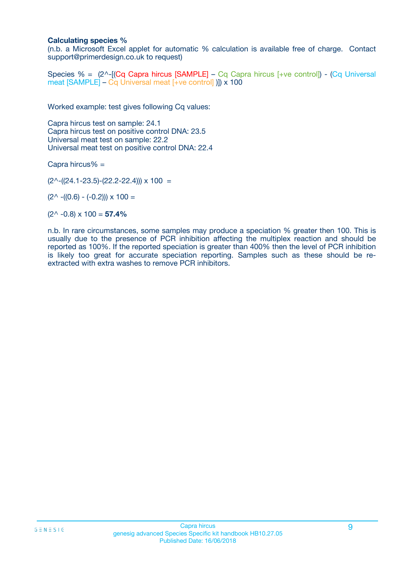#### **Calculating species %**

(n.b. a Microsoft Excel applet for automatic % calculation is available free of charge. Contact support@primerdesign.co.uk to request)

Species % = (2^-[(Cq Capra hircus [SAMPLE] – Cq Capra hircus [+ve control]) - (Cq Universal meat [SAMPLE] – Cq Universal meat [+ve control] )]) x 100

Worked example: test gives following Cq values:

Capra hircus test on sample: 24.1 Capra hircus test on positive control DNA: 23.5 Universal meat test on sample: 22.2 Universal meat test on positive control DNA: 22.4

Capra hircus% =

 $(2^{\wedge}-(24.1-23.5)-(22.2-22.4))) \times 100 =$ 

 $(2^{\wedge}$  -((0.6) - (-0.2)))  $\times$  100 =

 $(2^{\wedge}$  -0.8)  $\times$  100 = **57.4%** 

n.b. In rare circumstances, some samples may produce a speciation % greater then 100. This is usually due to the presence of PCR inhibition affecting the multiplex reaction and should be reported as 100%. If the reported speciation is greater than 400% then the level of PCR inhibition is likely too great for accurate speciation reporting. Samples such as these should be reextracted with extra washes to remove PCR inhibitors.